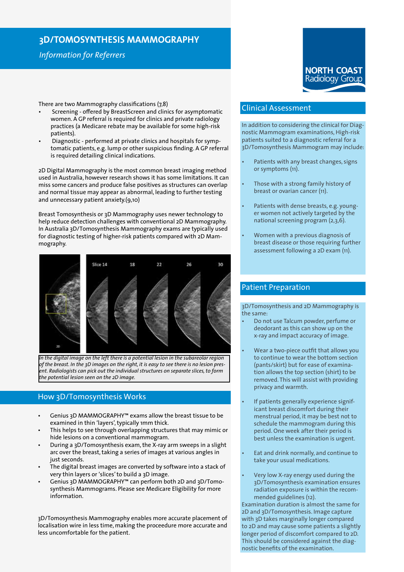# **3D/TOMOSYNTHESIS MAMMOGRAPHY**

*Information for Referrers*

There are two Mammography classifications (7,8)

- Screening offered by BreastScreen and clinics for asymptomatic women. A GP referral is required for clinics and private radiology practices (a Medicare rebate may be available for some high-risk patients).
- Diagnostic performed at private clinics and hospitals for symptomatic patients, e.g. lump or other suspicious finding. A GP referral is required detailing clinical indications.

2D Digital Mammography is the most common breast imaging method used in Australia, however research shows it has some limitations. It can miss some cancers and produce false positives as structures can overlap and normal tissue may appear as abnormal, leading to further testing and unnecessary patient anxiety.(9,10)

Breast Tomosynthesis or 3D Mammography uses newer technology to help reduce detection challenges with conventional 2D Mammography. In Australia 3D/Tomosynthesis Mammography exams are typically used for diagnostic testing of higher-risk patients compared with 2D Mammography.



*In the digital image on the left there is a potential lesion in the subareolar region of the breast. In the 3D images on the right, it is easy to see there is no lesion present. Radiologists can pick out the individual structures on separate slices, to form the potential lesion seen on the 2D image.*

### How 3D/Tomosynthesis Works

- Genius 3D MAMMOGRAPHY™ exams allow the breast tissue to be examined in thin 'layers', typically 1mm thick.
- This helps to see through overlapping structures that may mimic or hide lesions on a conventional mammogram.
- During a 3D/Tomosynthesis exam, the X-ray arm sweeps in a slight arc over the breast, taking a series of images at various angles in just seconds.
- The digital breast images are converted by software into a stack of very thin layers or 'slices' to build a 3D image.
- Genius 3D MAMMOGRAPHY™ can perform both 2D and 3D/Tomosynthesis Mammograms. Please see Medicare Eligibility for more information.

3D/Tomosynthesis Mammography enables more accurate placement of localisation wire in less time, making the proceedure more accurate and less uncomfortable for the patient.

# Clinical Assessment

In addition to considering the clinical for Diagnostic Mammogram examinations, High-risk patients suited to a diagnostic referral for a 3D/Tomosynthesis Mammogram may include:

- Patients with any breast changes, signs or symptoms (11).
- Those with a strong family history of breast or ovarian cancer (11).
- Patients with dense breasts, e.g. younger women not actively targeted by the national screening program (2,3,6).
	- Women with a previous diagnosis of breast disease or those requiring further assessment following a 2D exam (11).

# Patient Preparation

3D/Tomosynthesis and 2D Mammography is the same:

- Do not use Talcum powder, perfume or deodorant as this can show up on the x-ray and impact accuracy of image.
- Wear a two-piece outfit that allows you to continue to wear the bottom section (pants/skirt) but for ease of examination allows the top section (shirt) to be removed. This will assist with providing privacy and warmth.
- If patients generally experience significant breast discomfort during their menstrual period, it may be best not to schedule the mammogram during this period. One week after their period is best unless the examination is urgent.
- Eat and drink normally, and continue to take your usual medications.
- Very low X-ray energy used during the 3D/Tomosynthesis examination ensures radiation exposure is within the recommended guidelines (12).

Examination duration is almost the same for 2D and 3D/Tomosynthesis. Image capture with 3D takes marginally longer compared to 2D and may cause some patients a slightly longer period of discomfort compared to 2D. This should be considered against the diagnostic benefits of the examination.